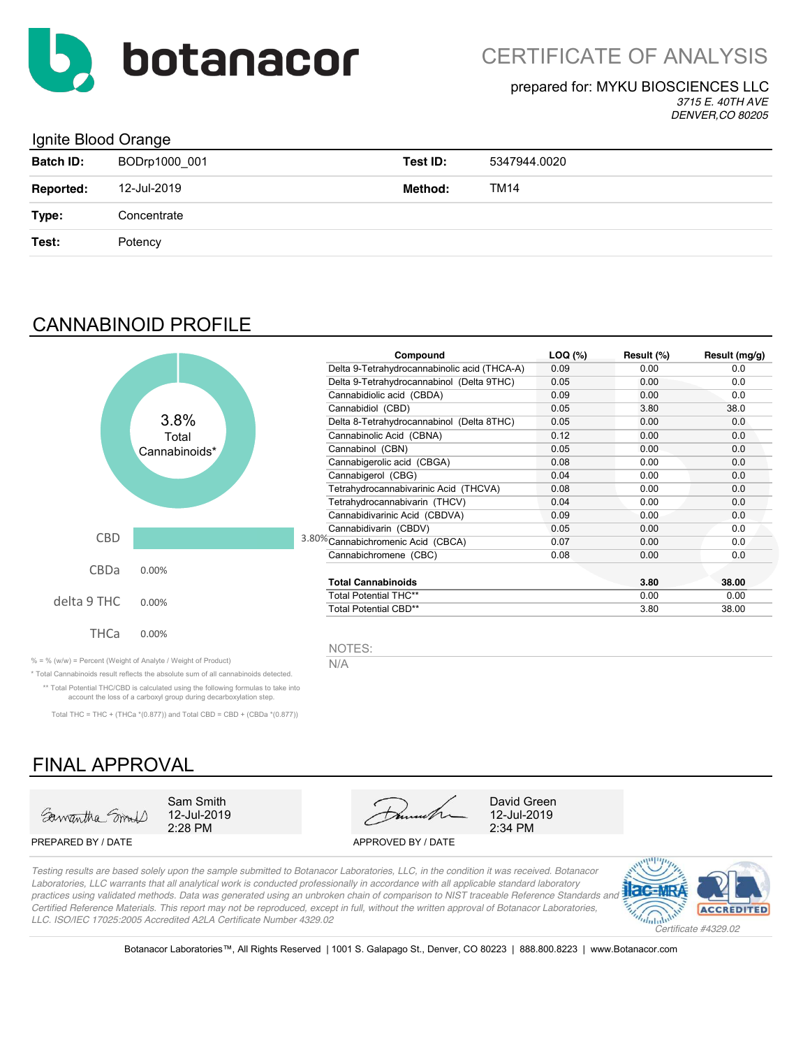

## CERTIFICATE OF ANALYSIS

#### prepared for: MYKU BIOSCIENCES LLC

*3715 E. 40TH AVE DENVER,CO 80205*

### Ignite Blood Orange

| <b>Batch ID:</b> | BODrp1000_001 | Test ID: | 5347944.0020 |
|------------------|---------------|----------|--------------|
| Reported:        | 12-Jul-2019   | Method:  | TM14         |
| Type:            | Concentrate   |          |              |
| Test:            | Potency       |          |              |
|                  |               |          |              |

## CANNABINOID PROFILE



| Compound                                     | $LOQ$ $(*)$ | Result (%) | Result (mg/g) |
|----------------------------------------------|-------------|------------|---------------|
| Delta 9-Tetrahydrocannabinolic acid (THCA-A) | 0.09        | 0.00       | 0.0           |
| Delta 9-Tetrahydrocannabinol (Delta 9THC)    | 0.05        | 0.00       | 0.0           |
| Cannabidiolic acid (CBDA)                    | 0.09        | 0.00       | 0.0           |
| Cannabidiol (CBD)                            | 0.05        | 3.80       | 38.0          |
| Delta 8-Tetrahydrocannabinol (Delta 8THC)    | 0.05        | 0.00       | 0.0           |
| Cannabinolic Acid (CBNA)                     | 0.12        | 0.00       | 0.0           |
| Cannabinol (CBN)                             | 0.05        | 0.00       | 0.0           |
| Cannabigerolic acid (CBGA)                   | 0.08        | 0.00       | 0.0           |
| Cannabigerol (CBG)                           | 0.04        | 0.00       | 0.0           |
| Tetrahydrocannabivarinic Acid (THCVA)        | 0.08        | 0.00       | 0.0           |
| Tetrahydrocannabivarin (THCV)                | 0.04        | 0.00       | 0.0           |
| Cannabidivarinic Acid (CBDVA)                | 0.09        | 0.00       | 0.0           |
| Cannabidivarin (CBDV)                        | 0.05        | 0.00       | 0.0           |
| 3.80% Cannabichromenic Acid (CBCA)           | 0.07        | 0.00       | 0.0           |
| Cannabichromene (CBC)                        | 0.08        | 0.00       | 0.0           |
| <b>Total Cannabinoids</b>                    |             | 3.80       | 38.00         |
| <b>Total Potential THC**</b>                 |             | 0.00       | 0.00          |
| Total Potential CBD**                        |             | 3.80       | 38.00         |

NOTES:

% = % (w/w) = Percent (Weight of Analyte / Weight of Product)  $N/A$ 

\* Total Cannabinoids result reflects the absolute sum of all cannabinoids detected. \*\* Total Potential THC/CBD is calculated using the following formulas to take into account the loss of a carboxyl group during decarboxylation step.

Total THC = THC + (THCa \*(0.877)) and Total CBD = CBD + (CBDa \*(0.877))

## FINAL APPROVAL



PREPARED BY / DATE APPROVED BY / DATE



*Testing results are based solely upon the sample submitted to Botanacor Laboratories, LLC, in the condition it was received. Botanacor Laboratories, LLC warrants that all analytical work is conducted professionally in accordance with all applicable standard laboratory practices using validated methods. Data was generated using an unbroken chain of comparison to NIST traceable Reference Standards and Certified Reference Materials. This report may not be reproduced, except in full, without the written approval of Botanacor Laboratories, LLC. ISO/IEC 17025:2005 Accredited A2LA Certificate Number 4329.02*



Botanacor Laboratories™, All Rights Reserved | 1001 S. Galapago St., Denver, CO 80223 | 888.800.8223 | www.Botanacor.com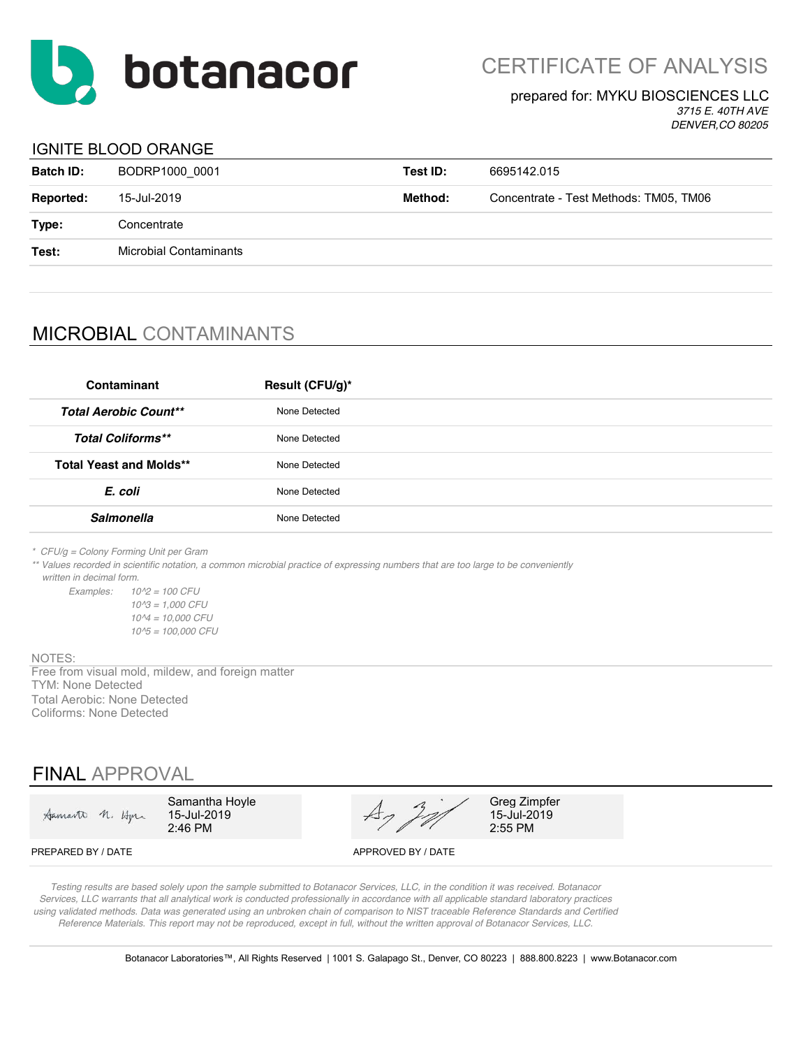

CERTIFICATE OF ANALYSIS

#### prepared for: MYKU BIOSCIENCES LLC

*3715 E. 40TH AVE DENVER,CO 80205*

### IGNITE BLOOD ORANGE

| <b>Batch ID:</b> | BODRP1000 0001                | Test ID: | 6695142.015                            |
|------------------|-------------------------------|----------|----------------------------------------|
| <b>Reported:</b> | 15-Jul-2019                   | Method:  | Concentrate - Test Methods: TM05, TM06 |
| Type:            | Concentrate                   |          |                                        |
| Test:            | <b>Microbial Contaminants</b> |          |                                        |
|                  |                               |          |                                        |

## MICROBIAL CONTAMINANTS

| Contaminant                    | Result (CFU/g)* |
|--------------------------------|-----------------|
| <b>Total Aerobic Count**</b>   | None Detected   |
| <b>Total Coliforms**</b>       | None Detected   |
| <b>Total Yeast and Molds**</b> | None Detected   |
| E. coli                        | None Detected   |
| <b>Salmonella</b>              | None Detected   |

*\* CFU/g = Colony Forming Unit per Gram*

*\*\* Values recorded in scientific notation, a common microbial practice of expressing numbers that are too large to be conveniently written in decimal form.*

*Examples: 10^2 = 100 CFU 10^3 = 1,000 CFU 10^4 = 10,000 CFU 10^5 = 100,000 CFU*

NOTES:

TYM: None Detected Total Aerobic: None Detected Coliforms: None Detected Free from visual mold, mildew, and foreign matter

### FINAL APPROVAL

| Samarto n. Horn    | Samantha Hoyle<br>15-Jul-2019<br>$2:46$ PM | $\overline{1}$     | Greg Zimpfer<br>15-Jul-2019<br>2:55 PM |
|--------------------|--------------------------------------------|--------------------|----------------------------------------|
| PREPARED BY / DATE |                                            | APPROVED BY / DATE |                                        |

*Testing results are based solely upon the sample submitted to Botanacor Services, LLC, in the condition it was received. Botanacor Services, LLC warrants that all analytical work is conducted professionally in accordance with all applicable standard laboratory practices using validated methods. Data was generated using an unbroken chain of comparison to NIST traceable Reference Standards and Certified Reference Materials. This report may not be reproduced, except in full, without the written approval of Botanacor Services, LLC.*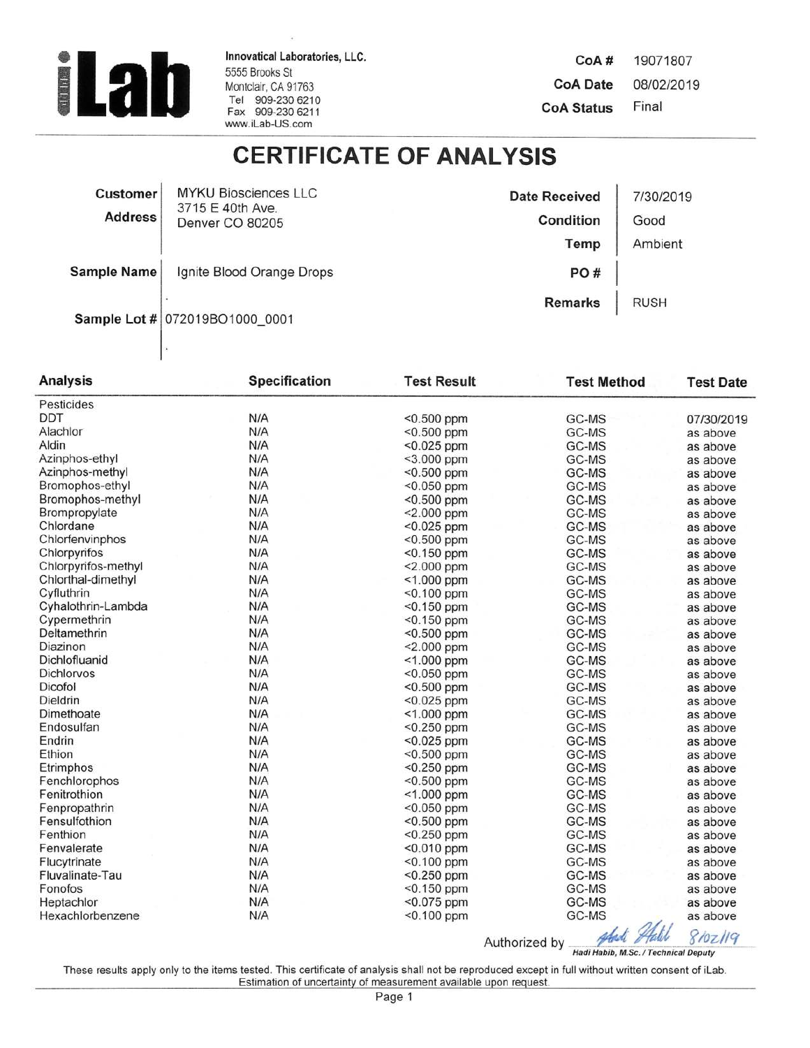

Innovatical Laboratories, LLC. 5555 Brooks St Montclair, CA 91763<br>Tel 909-230 6210<br>Fax 909-230 6211 www.iLab-US.com

CoA# 19071807 **CoA Date** 08/02/2019 Final **CoA Status** 

# **CERTIFICATE OF ANALYSIS**

| <b>Customer</b>    | <b>MYKU Biosciences LLC</b>                    | <b>Date Received</b> | 7/30/2019   |
|--------------------|------------------------------------------------|----------------------|-------------|
|                    | 3715 E 40th Ave.<br>Address<br>Denver CO 80205 | Condition            | Good        |
|                    |                                                | Temp                 | Ambient     |
| <b>Sample Name</b> | Ignite Blood Orange Drops                      | PO#                  |             |
|                    | Sample Lot # 072019BO1000 0001                 | <b>Remarks</b>       | <b>RUSH</b> |

| <b>Analysis</b>     | <b>Specification</b> | <b>Test Result</b> | <b>Test Method</b> | <b>Test Date</b> |
|---------------------|----------------------|--------------------|--------------------|------------------|
| Pesticides          |                      |                    |                    |                  |
| <b>DDT</b>          | N/A                  | $< 0.500$ ppm      | GC-MS              | 07/30/2019       |
| Alachlor            | N/A                  | $< 0.500$ ppm      | GC-MS              | as above         |
| Aldin               | N/A                  | $<$ 0.025 ppm      | GC-MS              | as above         |
| Azinphos-ethyl      | N/A                  | <3.000 ppm         | GC-MS              | as above         |
| Azinphos-methyl     | N/A                  | $<$ 0.500 ppm      | GC-MS              | as above         |
| Bromophos-ethyl     | N/A                  | $< 0.050$ ppm      | GC-MS              | as above         |
| Bromophos-methyl    | N/A                  | <0.500 ppm         | GC-MS              | as above         |
| Brompropylate       | N/A                  | <2.000 ppm         | GC-MS              | as above         |
| Chlordane           | N/A                  | $< 0.025$ ppm      | GC-MS              | as above         |
| Chlorfenvinphos     | N/A                  | $< 0.500$ ppm      | GC-MS              | as above         |
| Chlorpyrifos        | N/A                  | $< 0.150$ ppm      | GC-MS              | as above         |
| Chlorpyrifos-methyl | N/A                  | <2.000 ppm         | GC-MS              | as above         |
| Chlorthal-dimethyl  | N/A                  | $< 1.000$ ppm      | GC-MS              | as above         |
| Cyfluthrin          | N/A                  | <0.100 ppm         | GC-MS              | as above         |
| Cyhalothrin-Lambda  | N/A                  | $< 0.150$ ppm      | GC-MS              | as above         |
| Cypermethrin        | N/A                  | $< 0.150$ ppm      | GC-MS              | as above         |
| Deltamethrin        | N/A                  | <0.500 ppm         | GC-MS              | as above         |
| Diazinon            | N/A                  | $< 2.000$ ppm      | GC-MS              | as above         |
| Dichlofluanid       | N/A                  | <1.000 ppm         | GC-MS              | as above         |
| Dichlorvos          | N/A                  | <0.050 ppm         | GC-MS              | as above         |
| Dicofol             | N/A                  | <0.500 ppm         | GC-MS              | as above         |
| Dieldrin            | N/A                  | $< 0.025$ ppm      | GC-MS              | as above         |
| Dimethoate          | N/A                  | <1.000 ppm         | GC-MS              | as above         |
| Endosulfan          | N/A                  | $<$ 0.250 ppm      | GC-MS              | as above         |
| Endrin              | N/A                  | $< 0.025$ ppm      | GC-MS              | as above         |
| Ethion              | N/A                  | <0.500 ppm         | GC-MS              | as above         |
| Etrimphos           | N/A                  | $< 0.250$ ppm      | GC-MS              | as above         |
| Fenchlorophos       | N/A                  | $< 0.500$ ppm      | GC-MS              | as above         |
| Fenitrothion        | N/A                  | <1.000 ppm         | GC-MS              | as above         |
| Fenpropathrin       | N/A                  | <0.050 ppm         | GC-MS              | as above         |
| Fensulfothion       | N/A                  | <0.500 ppm         | GC-MS              | as above         |
| Fenthion            | N/A                  | <0.250 ppm         | GC-MS              | as above         |
| Fenvalerate         | N/A                  | $< 0.010$ ppm      | GC-MS              | as above         |
| Flucytrinate        | N/A                  | <0.100 ppm         | GC-MS              | as above         |
| Fluvalinate-Tau     | N/A                  | <0.250 ppm         | GC-MS              | as above         |
| Fonofos             | N/A                  | <0.150 ppm         | GC-MS              | as above         |
| Heptachlor          | N/A                  | <0.075 ppm         | GC-MS              | as above         |
| Hexachlorbenzene    | N/A                  | <0.100 ppm         | GC-MS              | as above         |
|                     |                      |                    | $\overline{U}$     |                  |

Authorized by Addi Adil 8107/19

These results apply only to the items tested. This certificate of analysis shall not be reproduced except in full without written consent of iLab. Estimation of uncertainty of measurement available upon request.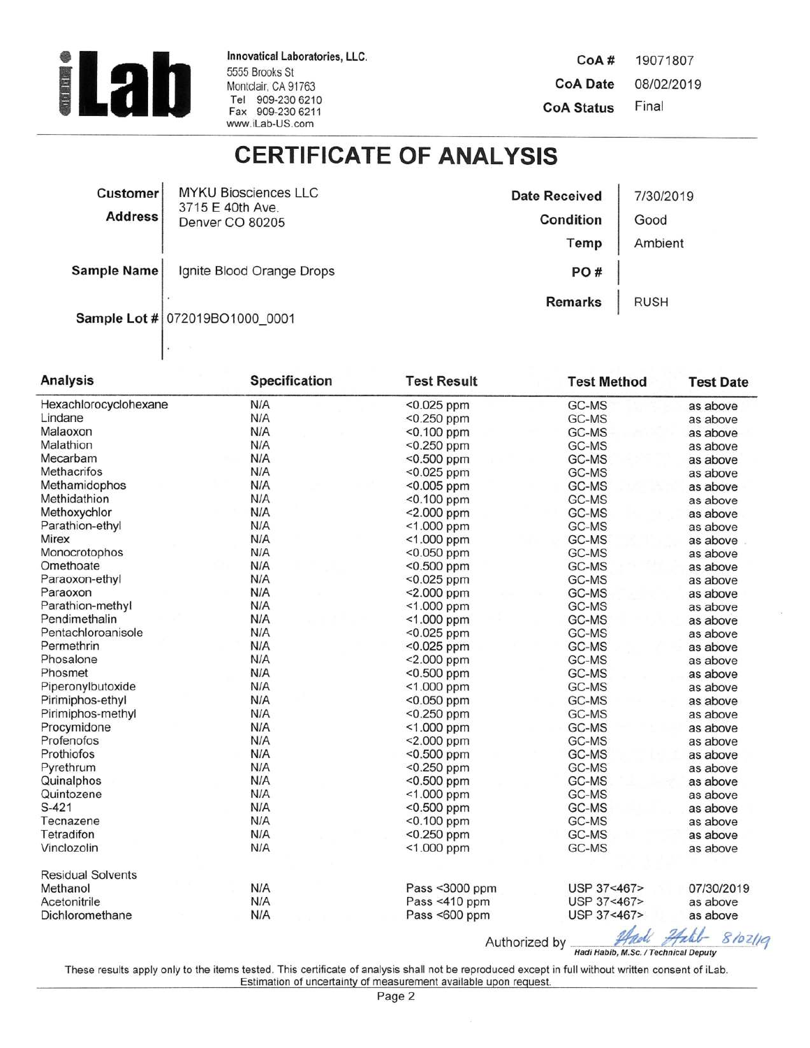

 $\vert$ .

Innovatical Laboratories, LLC. 5555 Brooks St Montclair, CA 91763 Tel 909-230 6210<br>Fax 909-230 6211 www.iLab-US.com

CoA# 19071807 **CoA Date** 08/02/2019 Final **CoA Status** 

# **CERTIFICATE OF ANALYSIS**

| <b>Customer</b>    | <b>MYKU Biosciences LLC</b>                     | <b>Date Received</b> | 7/30/2019   |
|--------------------|-------------------------------------------------|----------------------|-------------|
|                    | 3715 E 40th Ave.<br>Address'<br>Denver CO 80205 | Condition            | Good        |
|                    |                                                 | Temp                 | Ambient     |
| <b>Sample Name</b> | Ignite Blood Orange Drops                       | PO#                  |             |
|                    | Sample Lot # 072019BO1000 0001                  | <b>Remarks</b>       | <b>RUSH</b> |

| <b>Analysis</b>          | <b>Specification</b> | <b>Test Result</b> | <b>Test Method</b>                                      | <b>Test Date</b> |
|--------------------------|----------------------|--------------------|---------------------------------------------------------|------------------|
| Hexachlorocyclohexane    | N/A                  | <0.025 ppm         | GC-MS                                                   | as above         |
| Lindane                  | N/A                  | <0.250 ppm         | GC-MS                                                   | as above         |
| Malaoxon                 | N/A                  | <0.100 ppm         | GC-MS                                                   | as above         |
| Malathion                | N/A                  | <0.250 ppm         | GC-MS                                                   | as above         |
| Mecarbam                 | N/A                  | <0.500 ppm         | GC-MS                                                   | as above         |
| <b>Methacrifos</b>       | N/A                  | <0.025 ppm         | GC-MS                                                   | as above         |
| Methamidophos            | N/A                  | <0.005 ppm         | GC-MS                                                   | as above         |
| Methidathion             | N/A                  | <0.100 ppm         | GC-MS                                                   | as above         |
| Methoxychlor             | N/A                  | $< 2.000$ ppm      | GC-MS                                                   | as above         |
| Parathion-ethyl          | N/A                  | <1.000 ppm         | GC-MS                                                   | as above         |
| Mirex                    | N/A                  | $<$ 1.000 ppm      | GC-MS                                                   | as above         |
| Monocrotophos            | N/A                  | <0.050 ppm         | GC-MS                                                   | as above         |
| Omethoate                | N/A                  | $< 0.500$ ppm      | GC-MS                                                   | as above         |
| Paraoxon-ethyl           | N/A                  | <0.025 ppm         | GC-MS                                                   | as above         |
| Paraoxon                 | N/A                  | <2.000 ppm         | GC-MS                                                   | as above         |
| Parathion-methyl         | N/A                  | <1.000 ppm         | GC-MS                                                   | as above         |
| Pendimethalin            | N/A                  | <1.000 ppm         | GC-MS                                                   | as above         |
| Pentachloroanisole       | N/A                  | <0.025 ppm         | GC-MS                                                   | as above         |
| Permethrin               | N/A                  | <0.025 ppm         | GC-MS                                                   | as above         |
| Phosalone                | N/A                  | <2.000 ppm         | GC-MS                                                   | as above         |
| Phosmet                  | N/A                  | <0.500 ppm         | GC-MS                                                   | as above         |
| Piperonylbutoxide        | N/A                  | <1.000 ppm         | GC-MS                                                   | as above         |
| Pirimiphos-ethyl         | N/A                  | <0.050 ppm         | GC-MS                                                   | as above         |
| Pirimiphos-methyl        | N/A                  | <0.250 ppm         | GC-MS                                                   | as above         |
| Procymidone              | N/A                  | $<$ 1.000 ppm      | GC-MS                                                   | as above         |
| Profenofos               | N/A                  | <2.000 ppm         | GC-MS                                                   | as above         |
| Prothiofos               | N/A                  | <0.500 ppm         | GC-MS                                                   | as above         |
| Pyrethrum                | N/A                  | <0.250 ppm         | GC-MS                                                   | as above         |
| Quinalphos               | N/A                  | <0.500 ppm         | GC-MS                                                   | as above         |
| Quintozene               | N/A                  | <1.000 ppm         | GC-MS                                                   | as above         |
| $S-421$                  | N/A                  | <0.500 ppm         | GC-MS                                                   | as above         |
| Tecnazene                | N/A                  | $< 0.100$ ppm      | GC-MS                                                   | as above         |
| Tetradifon               | N/A                  | <0.250 ppm         | GC-MS                                                   | as above         |
| Vinclozolin              | N/A                  | <1.000 ppm         | GC-MS                                                   | as above         |
| <b>Residual Solvents</b> |                      |                    |                                                         |                  |
| Methanol                 | N/A                  | Pass <3000 ppm     | USP 37<467>                                             | 07/30/2019       |
| Acetonitrile             | N/A                  | Pass <410 ppm      | USP 37<467>                                             | as above         |
| Dichloromethane          | N/A                  | Pass <600 ppm      | USP 37<467>                                             | as above         |
|                          |                      |                    | $\mathcal{A}$ $\mathcal{A}$ $\mathcal{A}$ $\mathcal{A}$ |                  |

Authorized by Hadi Habib, M.Sc. / Technical Deputy

These results apply only to the items tested. This certificate of analysis shall not be reproduced except in full without written consent of iLab.<br>Estimation of uncertainty of measurement available upon request.